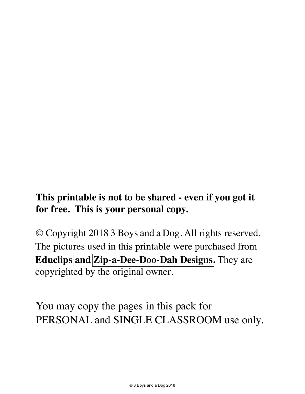#### **This printable is not to be shared - even if you got it for free. This is your personal copy.**

© Copyright 2018 3 Boys and a Dog. All rights reserved. The pictures used in this printable were purchased from **[Educlips](https://www.teacherspayteachers.com/Store/Educlips) and [Zip-a-Dee-Doo-Dah Designs](https://www.teacherspayteachers.com/Store/Zip-a-dee-doo-dah-Designs).** They are copyrighted by the original owner.

You may copy the pages in this pack for PERSONAL and SINGLE CLASSROOM use only.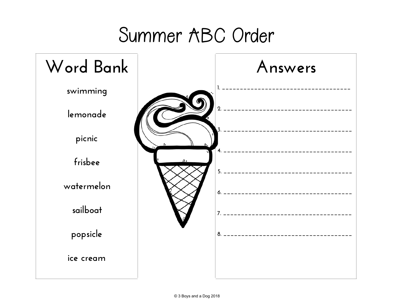### Summer ABC Order

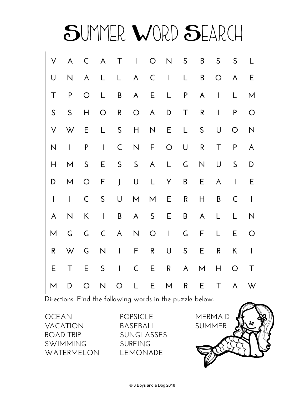

**Directions: Find the following words in the puzzle below.** 

**OCEAN VACATION ROAD TRIP SWIMMING WATERMELON**  **POPSICLE BASEBALL SUNGLASSES SURFING LEMONADE** 

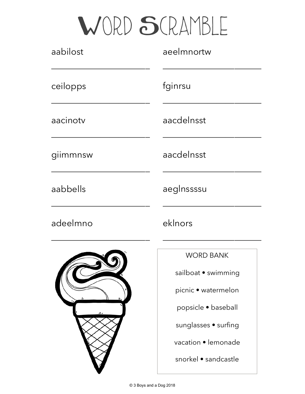### WORD SCRAMBLE

| aabilost | aeelmnortw           |  |  |
|----------|----------------------|--|--|
| ceilopps | fginrsu              |  |  |
| aacinotv | aacdelnsst           |  |  |
| giimmnsw | aacdelnsst           |  |  |
| aabbells | aeglnssssu           |  |  |
| adeelmno | eklnors              |  |  |
|          | <b>WORD BANK</b>     |  |  |
|          | sailboat • swimming  |  |  |
|          | picnic • watermelon  |  |  |
|          | popsicle · baseball  |  |  |
|          | sunglasses • surfing |  |  |
|          | vacation • lemonade  |  |  |
|          | snorkel • sandcastle |  |  |

v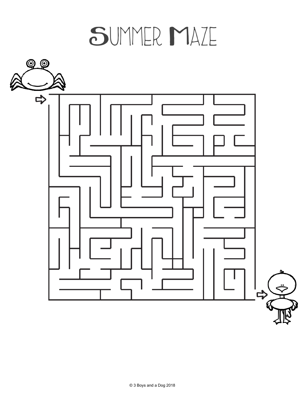## SUMMER MAZE

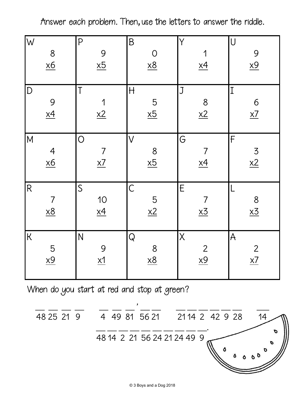Answer each problem. Then, use the letters to answer the riddle.

| W<br>8<br>$\underline{x6}$                | P<br>9<br>$\underline{x5}$                       | $\mathsf B$<br>$rac{0}{x8}$                        | Y<br>1<br>$\underline{x4}$                        | $\bigcup$<br>9<br>$\underline{x9}$ |
|-------------------------------------------|--------------------------------------------------|----------------------------------------------------|---------------------------------------------------|------------------------------------|
| $\vert D \vert$<br>9<br>$\frac{9}{x4}$    | $\mathsf T$<br>1<br>x2                           | $\begin{array}{c} H \end{array}$<br>$\frac{5}{x5}$ | J<br>$\frac{8}{2}$                                | $ 1\rangle$<br>$\frac{6}{x7}$      |
| M<br>$rac{4}{100}$                        | $\bigcirc$<br>$\overline{7}$<br>$\underline{x7}$ | $\vee$<br>$\frac{8}{25}$                           | G<br>$\overline{7}$<br>$\underline{x4}$           | F<br>$\frac{3}{x^2}$               |
| R<br>$\overline{7}$<br>$\underline{x8}$   | $\mathsf{S}$<br>$\frac{10}{1}$                   | $\overline{C}$<br>$\frac{5}{x^2}$                  | $\mathsf E$<br>$\overline{7}$<br>$\underline{x3}$ | $\frac{8}{x3}$                     |
| $\overline{\mathsf{K}}$<br>$\frac{5}{x9}$ | N<br>9<br>$\underline{x1}$                       | ${\sf Q}$<br>8<br>$\underline{x8}$                 | $\overline{\mathsf{X}}$<br>$rac{2}{x9}$           | ${\mathsf A}$<br>$\frac{2}{x7}$    |

When do you start at red and stop at green?

$$
\frac{1}{48} \overline{25} \overline{21} \overline{9} \qquad \frac{1}{4} \overline{49} \overline{81} \overline{56} \overline{21} \qquad \frac{1}{21} \overline{14} \overline{2} \overline{42} \overline{9} \overline{28} \qquad \overline{14}
$$
\n
$$
\overline{48} \overline{14} \overline{2} \overline{21} \overline{56} \overline{24} \overline{21} \overline{24} \overline{49} \overline{9}
$$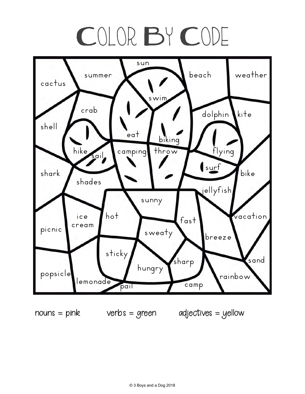# COLOR BY CODE



 $nouns = pink$  verbs = green adjectives = yellow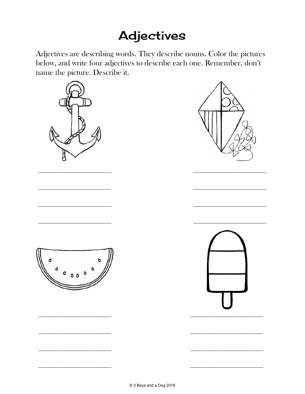#### **Adjectives**

Adjectives are describing words. They describe nouns. Color the pictures below, and write four adjectives to describe each one. Remember, don't name the picture. Describe it.